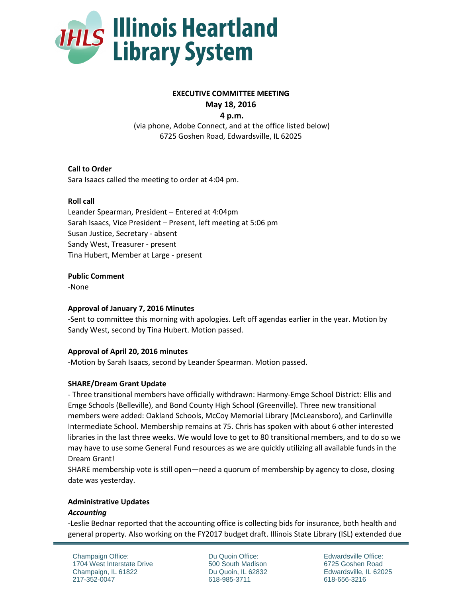

# **EXECUTIVE COMMITTEE MEETING May 18, 2016**

**4 p.m.**

(via phone, Adobe Connect, and at the office listed below) 6725 Goshen Road, Edwardsville, IL 62025

# **Call to Order**

Sara Isaacs called the meeting to order at 4:04 pm.

## **Roll call**

Leander Spearman, President – Entered at 4:04pm Sarah Isaacs, Vice President – Present, left meeting at 5:06 pm Susan Justice, Secretary - absent Sandy West, Treasurer - present Tina Hubert, Member at Large - present

#### **Public Comment**

-None

#### **Approval of January 7, 2016 Minutes**

-Sent to committee this morning with apologies. Left off agendas earlier in the year. Motion by Sandy West, second by Tina Hubert. Motion passed.

# **Approval of April 20, 2016 minutes**

-Motion by Sarah Isaacs, second by Leander Spearman. Motion passed.

#### **SHARE/Dream Grant Update**

- Three transitional members have officially withdrawn: Harmony-Emge School District: Ellis and Emge Schools (Belleville), and Bond County High School (Greenville). Three new transitional members were added: Oakland Schools, McCoy Memorial Library (McLeansboro), and Carlinville Intermediate School. Membership remains at 75. Chris has spoken with about 6 other interested libraries in the last three weeks. We would love to get to 80 transitional members, and to do so we may have to use some General Fund resources as we are quickly utilizing all available funds in the Dream Grant!

SHARE membership vote is still open—need a quorum of membership by agency to close, closing date was yesterday.

#### **Administrative Updates**

#### *Accounting*

-Leslie Bednar reported that the accounting office is collecting bids for insurance, both health and general property. Also working on the FY2017 budget draft. Illinois State Library (ISL) extended due

Champaign Office: 1704 West Interstate Drive Champaign, IL 61822 217-352-0047

Du Quoin Office: 500 South Madison Du Quoin, IL 62832 618-985-3711

Edwardsville Office: 6725 Goshen Road Edwardsville, IL 62025 618-656-3216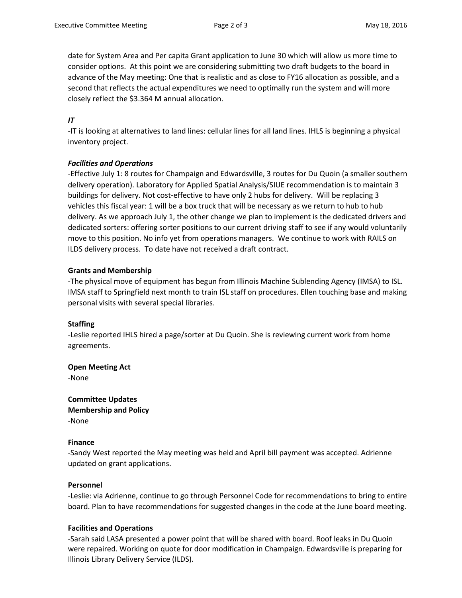date for System Area and Per capita Grant application to June 30 which will allow us more time to consider options. At this point we are considering submitting two draft budgets to the board in advance of the May meeting: One that is realistic and as close to FY16 allocation as possible, and a second that reflects the actual expenditures we need to optimally run the system and will more closely reflect the \$3.364 M annual allocation.

# *IT*

-IT is looking at alternatives to land lines: cellular lines for all land lines. IHLS is beginning a physical inventory project.

## *Facilities and Operations*

-Effective July 1: 8 routes for Champaign and Edwardsville, 3 routes for Du Quoin (a smaller southern delivery operation). Laboratory for Applied Spatial Analysis/SIUE recommendation is to maintain 3 buildings for delivery. Not cost-effective to have only 2 hubs for delivery. Will be replacing 3 vehicles this fiscal year: 1 will be a box truck that will be necessary as we return to hub to hub delivery. As we approach July 1, the other change we plan to implement is the dedicated drivers and dedicated sorters: offering sorter positions to our current driving staff to see if any would voluntarily move to this position. No info yet from operations managers. We continue to work with RAILS on ILDS delivery process. To date have not received a draft contract.

## **Grants and Membership**

-The physical move of equipment has begun from Illinois Machine Sublending Agency (IMSA) to ISL. IMSA staff to Springfield next month to train ISL staff on procedures. Ellen touching base and making personal visits with several special libraries.

#### **Staffing**

-Leslie reported IHLS hired a page/sorter at Du Quoin. She is reviewing current work from home agreements.

**Open Meeting Act**

-None

**Committee Updates Membership and Policy** -None

#### **Finance**

-Sandy West reported the May meeting was held and April bill payment was accepted. Adrienne updated on grant applications.

#### **Personnel**

-Leslie: via Adrienne, continue to go through Personnel Code for recommendations to bring to entire board. Plan to have recommendations for suggested changes in the code at the June board meeting.

# **Facilities and Operations**

-Sarah said LASA presented a power point that will be shared with board. Roof leaks in Du Quoin were repaired. Working on quote for door modification in Champaign. Edwardsville is preparing for Illinois Library Delivery Service (ILDS).